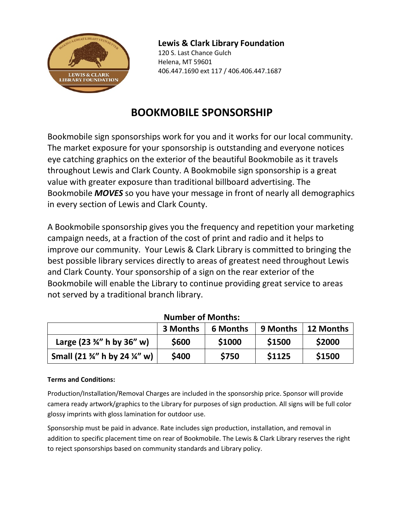

### **Lewis & Clark Library Foundation**

120 S. Last Chance Gulch Helena, MT 59601 406.447.1690 ext 117 / 406.406.447.1687

# **BOOKMOBILE SPONSORSHIP**

Bookmobile sign sponsorships work for you and it works for our local community. The market exposure for your sponsorship is outstanding and everyone notices eye catching graphics on the exterior of the beautiful Bookmobile as it travels throughout Lewis and Clark County. A Bookmobile sign sponsorship is a great value with greater exposure than traditional billboard advertising. The Bookmobile *MOVES* so you have your message in front of nearly all demographics in every section of Lewis and Clark County.

A Bookmobile sponsorship gives you the frequency and repetition your marketing campaign needs, at a fraction of the cost of print and radio and it helps to improve our community. Your Lewis & Clark Library is committed to bringing the best possible library services directly to areas of greatest need throughout Lewis and Clark County. Your sponsorship of a sign on the rear exterior of the Bookmobile will enable the Library to continue providing great service to areas not served by a traditional branch library.

|                                                      | 3 Months | 6 Months | 9 Months | 12 Months |  |  |
|------------------------------------------------------|----------|----------|----------|-----------|--|--|
| Large (23 $\frac{3}{4}$ " h by 36" w)                | \$600    | \$1000   | \$1500   | \$2000    |  |  |
| Small (21 $\frac{3}{4}$ " h by 24 $\frac{1}{4}$ " w) | \$400    | \$750    | \$1125   | \$1500    |  |  |

### **Number of Months:**

#### **Terms and Conditions:**

Production/Installation/Removal Charges are included in the sponsorship price. Sponsor will provide camera ready artwork/graphics to the Library for purposes of sign production. All signs will be full color glossy imprints with gloss lamination for outdoor use.

Sponsorship must be paid in advance. Rate includes sign production, installation, and removal in addition to specific placement time on rear of Bookmobile. The Lewis & Clark Library reserves the right to reject sponsorships based on community standards and Library policy.